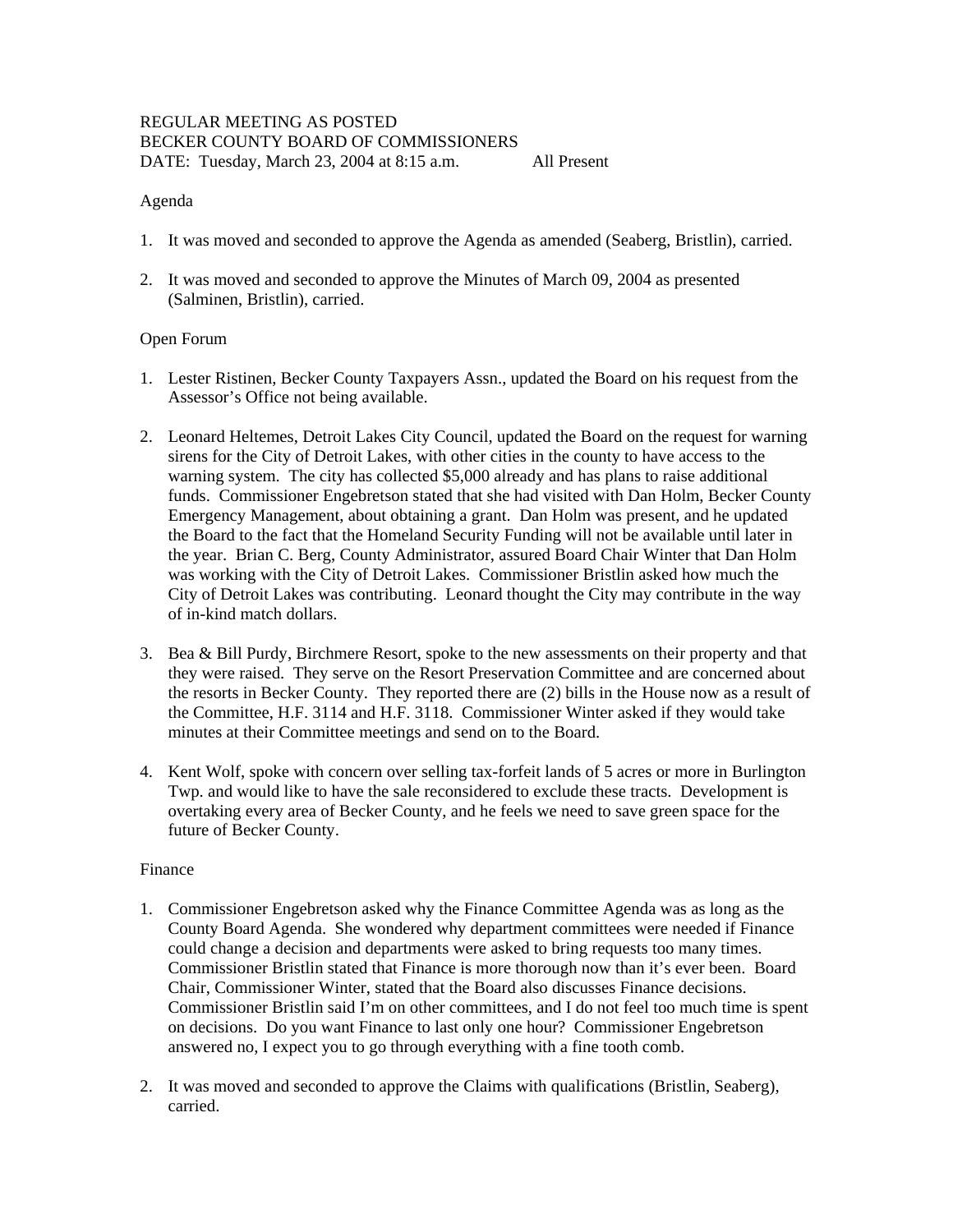## REGULAR MEETING AS POSTED BECKER COUNTY BOARD OF COMMISSIONERS DATE: Tuesday, March 23, 2004 at 8:15 a.m. All Present

## Agenda

- 1. It was moved and seconded to approve the Agenda as amended (Seaberg, Bristlin), carried.
- 2. It was moved and seconded to approve the Minutes of March 09, 2004 as presented (Salminen, Bristlin), carried.

## Open Forum

- 1. Lester Ristinen, Becker County Taxpayers Assn., updated the Board on his request from the Assessor's Office not being available.
- 2. Leonard Heltemes, Detroit Lakes City Council, updated the Board on the request for warning sirens for the City of Detroit Lakes, with other cities in the county to have access to the warning system. The city has collected \$5,000 already and has plans to raise additional funds. Commissioner Engebretson stated that she had visited with Dan Holm, Becker County Emergency Management, about obtaining a grant. Dan Holm was present, and he updated the Board to the fact that the Homeland Security Funding will not be available until later in the year. Brian C. Berg, County Administrator, assured Board Chair Winter that Dan Holm was working with the City of Detroit Lakes. Commissioner Bristlin asked how much the City of Detroit Lakes was contributing. Leonard thought the City may contribute in the way of in-kind match dollars.
- 3. Bea & Bill Purdy, Birchmere Resort, spoke to the new assessments on their property and that they were raised. They serve on the Resort Preservation Committee and are concerned about the resorts in Becker County. They reported there are (2) bills in the House now as a result of the Committee, H.F. 3114 and H.F. 3118. Commissioner Winter asked if they would take minutes at their Committee meetings and send on to the Board.
- 4. Kent Wolf, spoke with concern over selling tax-forfeit lands of 5 acres or more in Burlington Twp. and would like to have the sale reconsidered to exclude these tracts. Development is overtaking every area of Becker County, and he feels we need to save green space for the future of Becker County.

#### Finance

- 1. Commissioner Engebretson asked why the Finance Committee Agenda was as long as the County Board Agenda. She wondered why department committees were needed if Finance could change a decision and departments were asked to bring requests too many times. Commissioner Bristlin stated that Finance is more thorough now than it's ever been. Board Chair, Commissioner Winter, stated that the Board also discusses Finance decisions. Commissioner Bristlin said I'm on other committees, and I do not feel too much time is spent on decisions. Do you want Finance to last only one hour? Commissioner Engebretson answered no, I expect you to go through everything with a fine tooth comb.
- 2. It was moved and seconded to approve the Claims with qualifications (Bristlin, Seaberg), carried.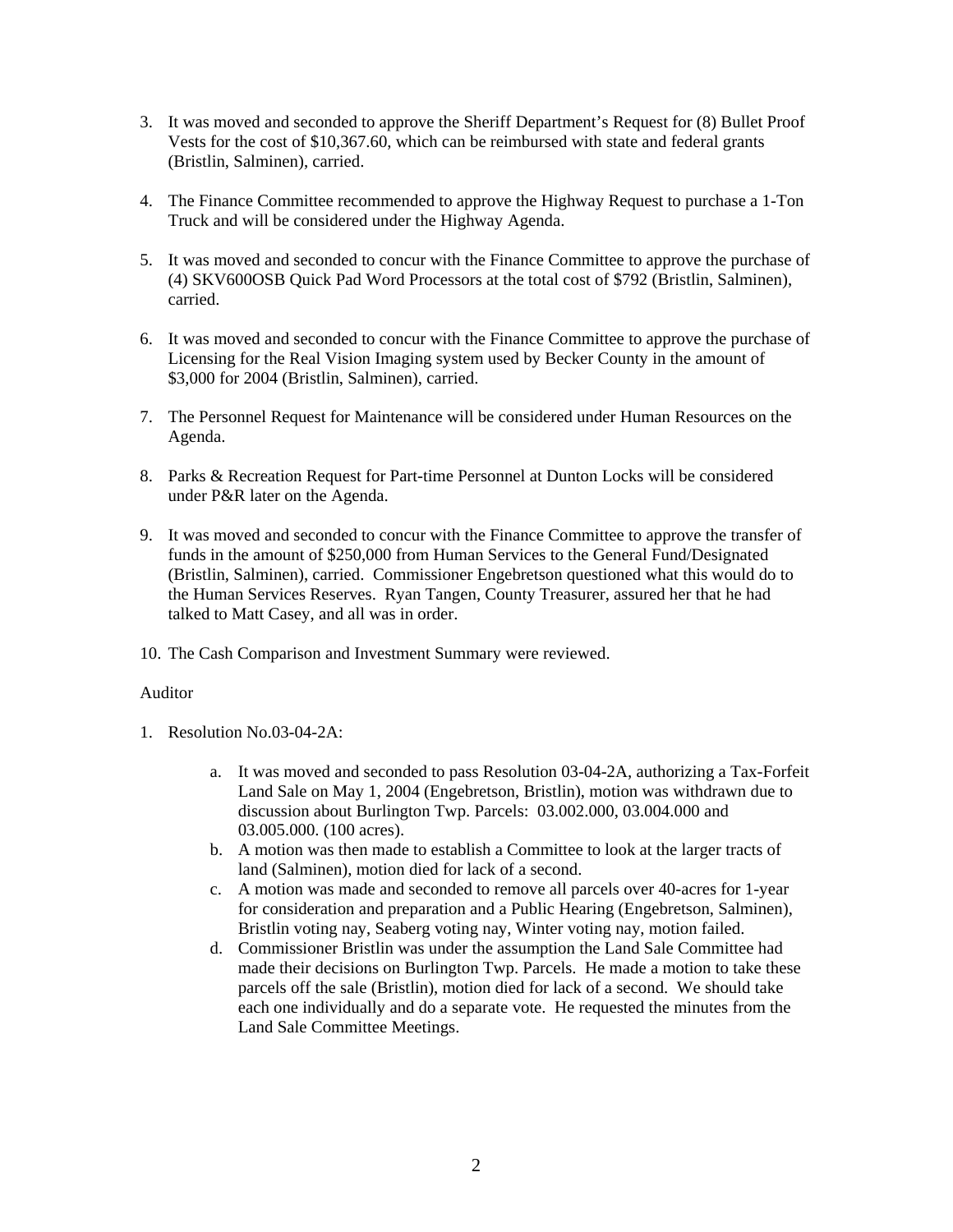- 3. It was moved and seconded to approve the Sheriff Department's Request for (8) Bullet Proof Vests for the cost of \$10,367.60, which can be reimbursed with state and federal grants (Bristlin, Salminen), carried.
- 4. The Finance Committee recommended to approve the Highway Request to purchase a 1-Ton Truck and will be considered under the Highway Agenda.
- 5. It was moved and seconded to concur with the Finance Committee to approve the purchase of (4) SKV600OSB Quick Pad Word Processors at the total cost of \$792 (Bristlin, Salminen), carried.
- 6. It was moved and seconded to concur with the Finance Committee to approve the purchase of Licensing for the Real Vision Imaging system used by Becker County in the amount of \$3,000 for 2004 (Bristlin, Salminen), carried.
- 7. The Personnel Request for Maintenance will be considered under Human Resources on the Agenda.
- 8. Parks & Recreation Request for Part-time Personnel at Dunton Locks will be considered under P&R later on the Agenda.
- 9. It was moved and seconded to concur with the Finance Committee to approve the transfer of funds in the amount of \$250,000 from Human Services to the General Fund/Designated (Bristlin, Salminen), carried. Commissioner Engebretson questioned what this would do to the Human Services Reserves. Ryan Tangen, County Treasurer, assured her that he had talked to Matt Casey, and all was in order.
- 10. The Cash Comparison and Investment Summary were reviewed.

## Auditor

- 1. Resolution No.03-04-2A:
	- a. It was moved and seconded to pass Resolution 03-04-2A, authorizing a Tax-Forfeit Land Sale on May 1, 2004 (Engebretson, Bristlin), motion was withdrawn due to discussion about Burlington Twp. Parcels: 03.002.000, 03.004.000 and 03.005.000. (100 acres).
	- b. A motion was then made to establish a Committee to look at the larger tracts of land (Salminen), motion died for lack of a second.
	- c. A motion was made and seconded to remove all parcels over 40-acres for 1-year for consideration and preparation and a Public Hearing (Engebretson, Salminen), Bristlin voting nay, Seaberg voting nay, Winter voting nay, motion failed.
	- d. Commissioner Bristlin was under the assumption the Land Sale Committee had made their decisions on Burlington Twp. Parcels. He made a motion to take these parcels off the sale (Bristlin), motion died for lack of a second. We should take each one individually and do a separate vote. He requested the minutes from the Land Sale Committee Meetings.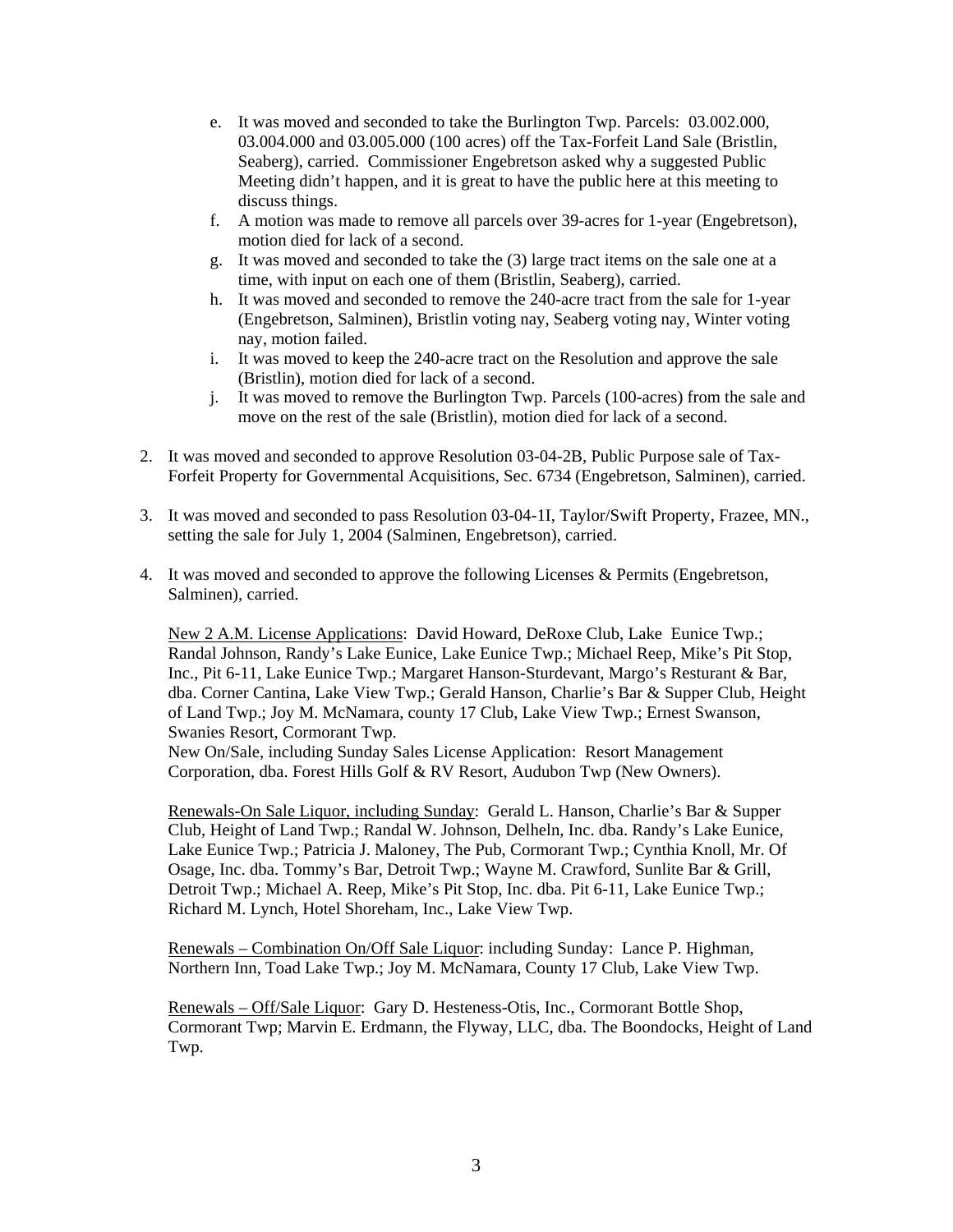- e. It was moved and seconded to take the Burlington Twp. Parcels: 03.002.000, 03.004.000 and 03.005.000 (100 acres) off the Tax-Forfeit Land Sale (Bristlin, Seaberg), carried. Commissioner Engebretson asked why a suggested Public Meeting didn't happen, and it is great to have the public here at this meeting to discuss things.
- f. A motion was made to remove all parcels over 39-acres for 1-year (Engebretson), motion died for lack of a second.
- g. It was moved and seconded to take the (3) large tract items on the sale one at a time, with input on each one of them (Bristlin, Seaberg), carried.
- h. It was moved and seconded to remove the 240-acre tract from the sale for 1-year (Engebretson, Salminen), Bristlin voting nay, Seaberg voting nay, Winter voting nay, motion failed.
- i. It was moved to keep the 240-acre tract on the Resolution and approve the sale (Bristlin), motion died for lack of a second.
- j. It was moved to remove the Burlington Twp. Parcels (100-acres) from the sale and move on the rest of the sale (Bristlin), motion died for lack of a second.
- 2. It was moved and seconded to approve Resolution 03-04-2B, Public Purpose sale of Tax-Forfeit Property for Governmental Acquisitions, Sec. 6734 (Engebretson, Salminen), carried.
- 3. It was moved and seconded to pass Resolution 03-04-1I, Taylor/Swift Property, Frazee, MN., setting the sale for July 1, 2004 (Salminen, Engebretson), carried.
- 4. It was moved and seconded to approve the following Licenses & Permits (Engebretson, Salminen), carried.

New 2 A.M. License Applications: David Howard, DeRoxe Club, Lake Eunice Twp.; Randal Johnson, Randy's Lake Eunice, Lake Eunice Twp.; Michael Reep, Mike's Pit Stop, Inc., Pit 6-11, Lake Eunice Twp.; Margaret Hanson-Sturdevant, Margo's Resturant & Bar, dba. Corner Cantina, Lake View Twp.; Gerald Hanson, Charlie's Bar & Supper Club, Height of Land Twp.; Joy M. McNamara, county 17 Club, Lake View Twp.; Ernest Swanson, Swanies Resort, Cormorant Twp.

New On/Sale, including Sunday Sales License Application: Resort Management Corporation, dba. Forest Hills Golf & RV Resort, Audubon Twp (New Owners).

Renewals-On Sale Liquor, including Sunday: Gerald L. Hanson, Charlie's Bar & Supper Club, Height of Land Twp.; Randal W. Johnson, Delheln, Inc. dba. Randy's Lake Eunice, Lake Eunice Twp.; Patricia J. Maloney, The Pub, Cormorant Twp.; Cynthia Knoll, Mr. Of Osage, Inc. dba. Tommy's Bar, Detroit Twp.; Wayne M. Crawford, Sunlite Bar & Grill, Detroit Twp.; Michael A. Reep, Mike's Pit Stop, Inc. dba. Pit 6-11, Lake Eunice Twp.; Richard M. Lynch, Hotel Shoreham, Inc., Lake View Twp.

Renewals – Combination On/Off Sale Liquor: including Sunday: Lance P. Highman, Northern Inn, Toad Lake Twp.; Joy M. McNamara, County 17 Club, Lake View Twp.

Renewals – Off/Sale Liquor: Gary D. Hesteness-Otis, Inc., Cormorant Bottle Shop, Cormorant Twp; Marvin E. Erdmann, the Flyway, LLC, dba. The Boondocks, Height of Land Twp.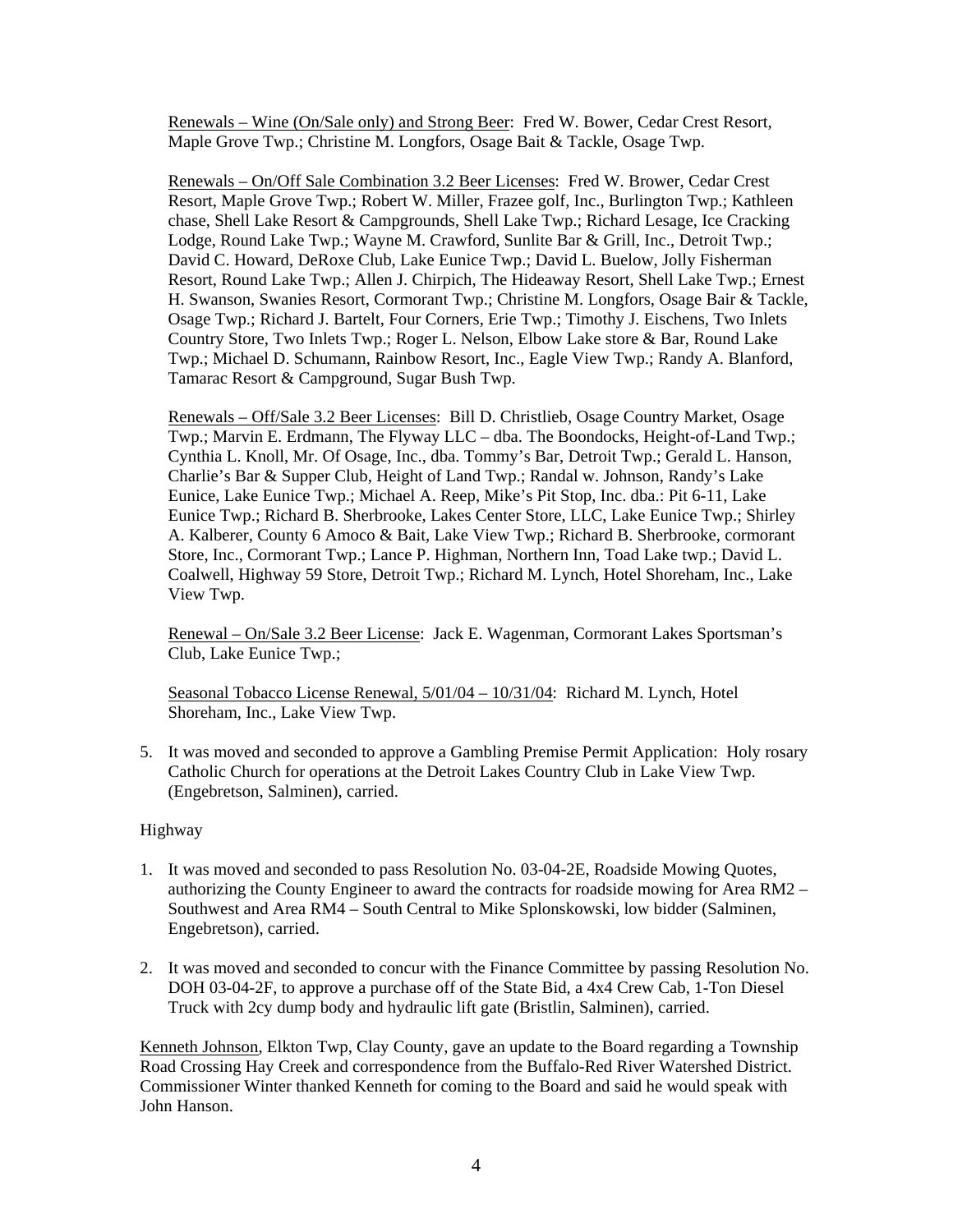Renewals – Wine (On/Sale only) and Strong Beer: Fred W. Bower, Cedar Crest Resort, Maple Grove Twp.; Christine M. Longfors, Osage Bait & Tackle, Osage Twp.

Renewals – On/Off Sale Combination 3.2 Beer Licenses: Fred W. Brower, Cedar Crest Resort, Maple Grove Twp.; Robert W. Miller, Frazee golf, Inc., Burlington Twp.; Kathleen chase, Shell Lake Resort & Campgrounds, Shell Lake Twp.; Richard Lesage, Ice Cracking Lodge, Round Lake Twp.; Wayne M. Crawford, Sunlite Bar & Grill, Inc., Detroit Twp.; David C. Howard, DeRoxe Club, Lake Eunice Twp.; David L. Buelow, Jolly Fisherman Resort, Round Lake Twp.; Allen J. Chirpich, The Hideaway Resort, Shell Lake Twp.; Ernest H. Swanson, Swanies Resort, Cormorant Twp.; Christine M. Longfors, Osage Bair & Tackle, Osage Twp.; Richard J. Bartelt, Four Corners, Erie Twp.; Timothy J. Eischens, Two Inlets Country Store, Two Inlets Twp.; Roger L. Nelson, Elbow Lake store & Bar, Round Lake Twp.; Michael D. Schumann, Rainbow Resort, Inc., Eagle View Twp.; Randy A. Blanford, Tamarac Resort & Campground, Sugar Bush Twp.

Renewals – Off/Sale 3.2 Beer Licenses: Bill D. Christlieb, Osage Country Market, Osage Twp.; Marvin E. Erdmann, The Flyway LLC – dba. The Boondocks, Height-of-Land Twp.; Cynthia L. Knoll, Mr. Of Osage, Inc., dba. Tommy's Bar, Detroit Twp.; Gerald L. Hanson, Charlie's Bar & Supper Club, Height of Land Twp.; Randal w. Johnson, Randy's Lake Eunice, Lake Eunice Twp.; Michael A. Reep, Mike's Pit Stop, Inc. dba.: Pit 6-11, Lake Eunice Twp.; Richard B. Sherbrooke, Lakes Center Store, LLC, Lake Eunice Twp.; Shirley A. Kalberer, County 6 Amoco & Bait, Lake View Twp.; Richard B. Sherbrooke, cormorant Store, Inc., Cormorant Twp.; Lance P. Highman, Northern Inn, Toad Lake twp.; David L. Coalwell, Highway 59 Store, Detroit Twp.; Richard M. Lynch, Hotel Shoreham, Inc., Lake View Twp.

Renewal – On/Sale 3.2 Beer License: Jack E. Wagenman, Cormorant Lakes Sportsman's Club, Lake Eunice Twp.;

Seasonal Tobacco License Renewal, 5/01/04 – 10/31/04: Richard M. Lynch, Hotel Shoreham, Inc., Lake View Twp.

5. It was moved and seconded to approve a Gambling Premise Permit Application: Holy rosary Catholic Church for operations at the Detroit Lakes Country Club in Lake View Twp. (Engebretson, Salminen), carried.

#### Highway

- 1. It was moved and seconded to pass Resolution No. 03-04-2E, Roadside Mowing Quotes, authorizing the County Engineer to award the contracts for roadside mowing for Area RM2 – Southwest and Area RM4 – South Central to Mike Splonskowski, low bidder (Salminen, Engebretson), carried.
- 2. It was moved and seconded to concur with the Finance Committee by passing Resolution No. DOH 03-04-2F, to approve a purchase off of the State Bid, a 4x4 Crew Cab, 1-Ton Diesel Truck with 2cy dump body and hydraulic lift gate (Bristlin, Salminen), carried.

Kenneth Johnson, Elkton Twp, Clay County, gave an update to the Board regarding a Township Road Crossing Hay Creek and correspondence from the Buffalo-Red River Watershed District. Commissioner Winter thanked Kenneth for coming to the Board and said he would speak with John Hanson.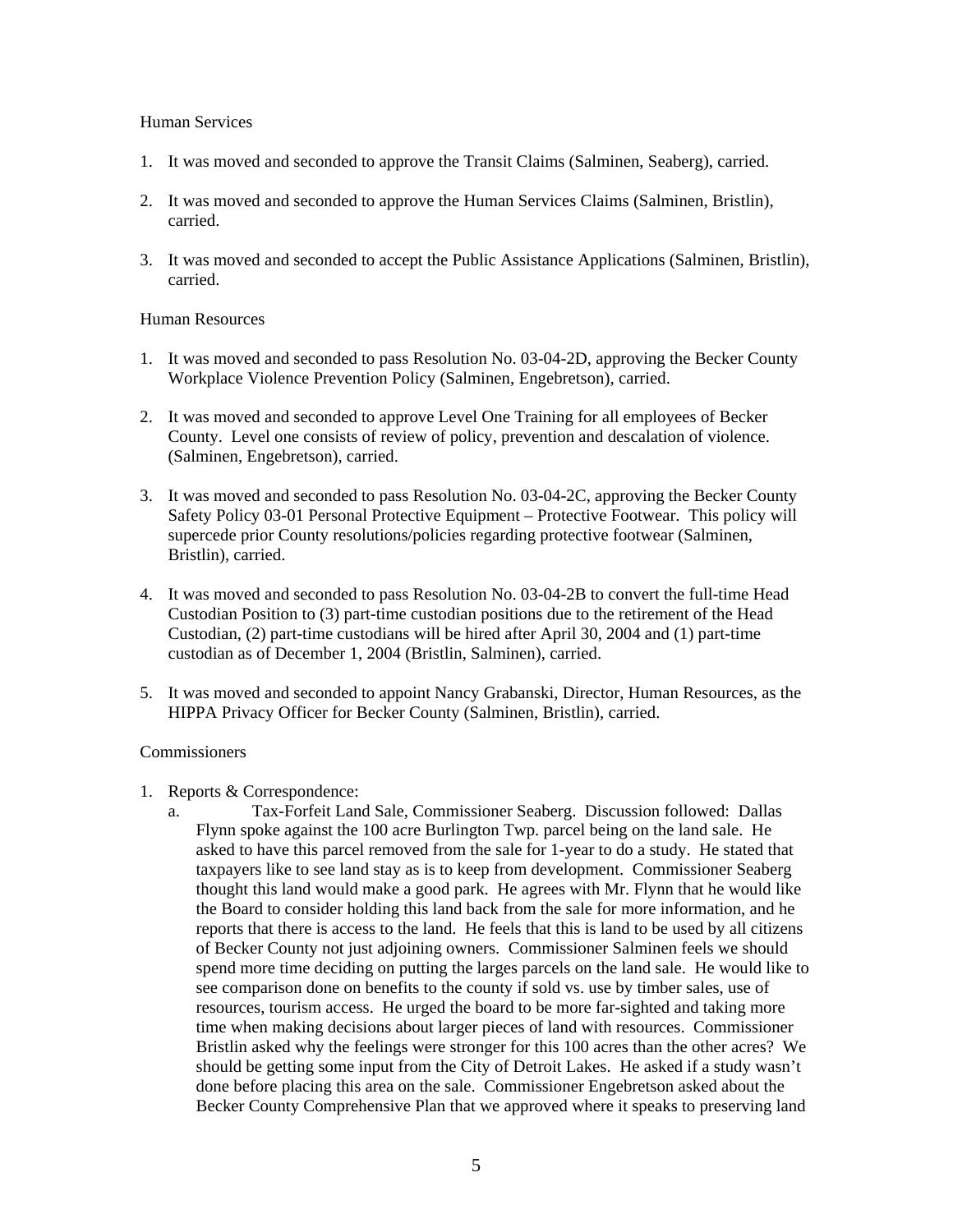#### Human Services

- 1. It was moved and seconded to approve the Transit Claims (Salminen, Seaberg), carried.
- 2. It was moved and seconded to approve the Human Services Claims (Salminen, Bristlin), carried.
- 3. It was moved and seconded to accept the Public Assistance Applications (Salminen, Bristlin), carried.

### Human Resources

- 1. It was moved and seconded to pass Resolution No. 03-04-2D, approving the Becker County Workplace Violence Prevention Policy (Salminen, Engebretson), carried.
- 2. It was moved and seconded to approve Level One Training for all employees of Becker County. Level one consists of review of policy, prevention and descalation of violence. (Salminen, Engebretson), carried.
- 3. It was moved and seconded to pass Resolution No. 03-04-2C, approving the Becker County Safety Policy 03-01 Personal Protective Equipment – Protective Footwear. This policy will supercede prior County resolutions/policies regarding protective footwear (Salminen, Bristlin), carried.
- 4. It was moved and seconded to pass Resolution No. 03-04-2B to convert the full-time Head Custodian Position to (3) part-time custodian positions due to the retirement of the Head Custodian, (2) part-time custodians will be hired after April 30, 2004 and (1) part-time custodian as of December 1, 2004 (Bristlin, Salminen), carried.
- 5. It was moved and seconded to appoint Nancy Grabanski, Director, Human Resources, as the HIPPA Privacy Officer for Becker County (Salminen, Bristlin), carried.

## **Commissioners**

- 1. Reports & Correspondence:
	- a. Tax-Forfeit Land Sale, Commissioner Seaberg. Discussion followed: Dallas Flynn spoke against the 100 acre Burlington Twp. parcel being on the land sale. He asked to have this parcel removed from the sale for 1-year to do a study. He stated that taxpayers like to see land stay as is to keep from development. Commissioner Seaberg thought this land would make a good park. He agrees with Mr. Flynn that he would like the Board to consider holding this land back from the sale for more information, and he reports that there is access to the land. He feels that this is land to be used by all citizens of Becker County not just adjoining owners. Commissioner Salminen feels we should spend more time deciding on putting the larges parcels on the land sale. He would like to see comparison done on benefits to the county if sold vs. use by timber sales, use of resources, tourism access. He urged the board to be more far-sighted and taking more time when making decisions about larger pieces of land with resources. Commissioner Bristlin asked why the feelings were stronger for this 100 acres than the other acres? We should be getting some input from the City of Detroit Lakes. He asked if a study wasn't done before placing this area on the sale. Commissioner Engebretson asked about the Becker County Comprehensive Plan that we approved where it speaks to preserving land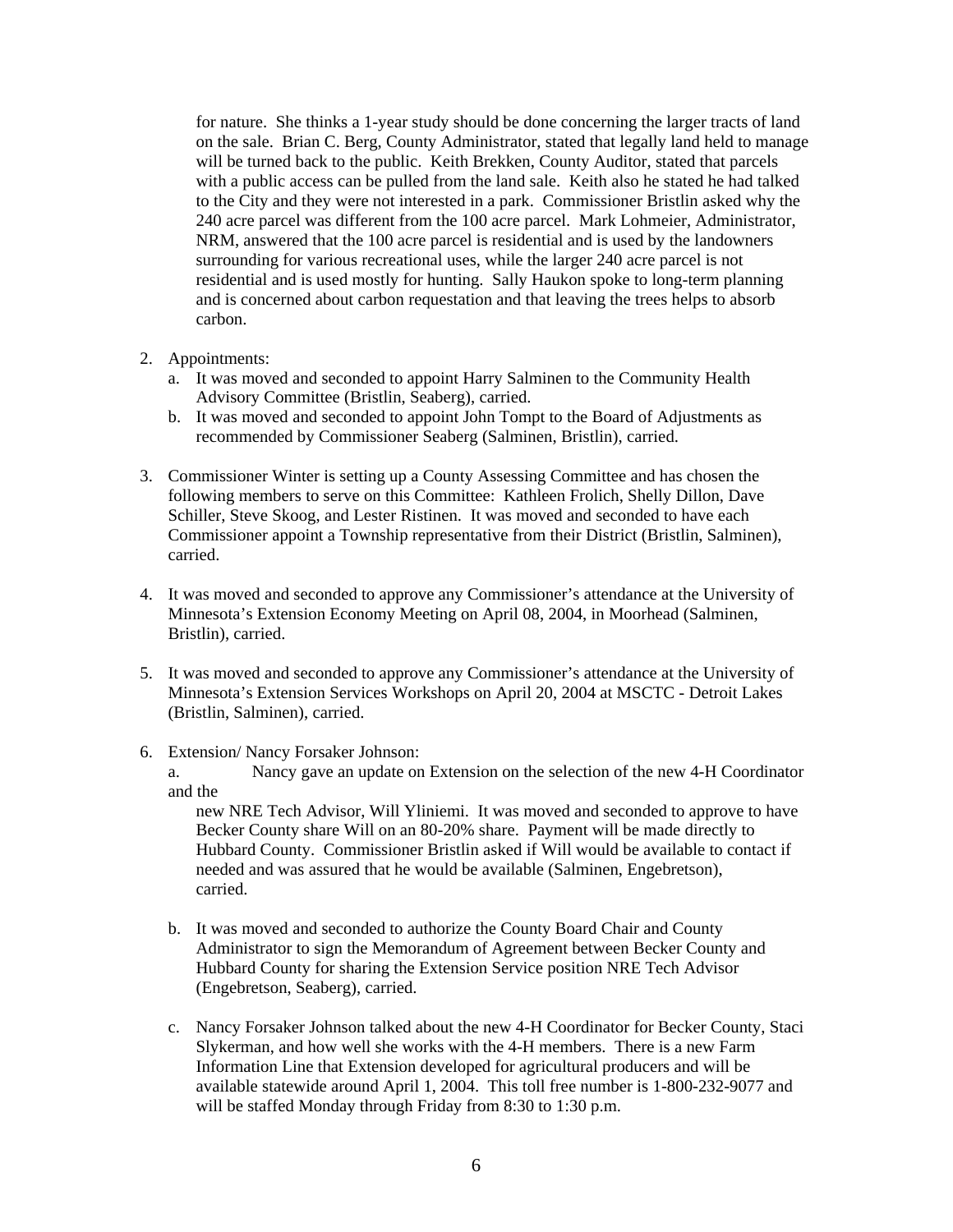for nature. She thinks a 1-year study should be done concerning the larger tracts of land on the sale. Brian C. Berg, County Administrator, stated that legally land held to manage will be turned back to the public. Keith Brekken, County Auditor, stated that parcels with a public access can be pulled from the land sale. Keith also he stated he had talked to the City and they were not interested in a park. Commissioner Bristlin asked why the 240 acre parcel was different from the 100 acre parcel. Mark Lohmeier, Administrator, NRM, answered that the 100 acre parcel is residential and is used by the landowners surrounding for various recreational uses, while the larger 240 acre parcel is not residential and is used mostly for hunting. Sally Haukon spoke to long-term planning and is concerned about carbon requestation and that leaving the trees helps to absorb carbon.

- 2. Appointments:
	- a. It was moved and seconded to appoint Harry Salminen to the Community Health Advisory Committee (Bristlin, Seaberg), carried.
	- b. It was moved and seconded to appoint John Tompt to the Board of Adjustments as recommended by Commissioner Seaberg (Salminen, Bristlin), carried.
- 3. Commissioner Winter is setting up a County Assessing Committee and has chosen the following members to serve on this Committee: Kathleen Frolich, Shelly Dillon, Dave Schiller, Steve Skoog, and Lester Ristinen. It was moved and seconded to have each Commissioner appoint a Township representative from their District (Bristlin, Salminen), carried.
- 4. It was moved and seconded to approve any Commissioner's attendance at the University of Minnesota's Extension Economy Meeting on April 08, 2004, in Moorhead (Salminen, Bristlin), carried.
- 5. It was moved and seconded to approve any Commissioner's attendance at the University of Minnesota's Extension Services Workshops on April 20, 2004 at MSCTC - Detroit Lakes (Bristlin, Salminen), carried.
- 6. Extension/ Nancy Forsaker Johnson:

a. Nancy gave an update on Extension on the selection of the new 4-H Coordinator and the

new NRE Tech Advisor, Will Yliniemi. It was moved and seconded to approve to have Becker County share Will on an 80-20% share. Payment will be made directly to Hubbard County. Commissioner Bristlin asked if Will would be available to contact if needed and was assured that he would be available (Salminen, Engebretson), carried.

- b. It was moved and seconded to authorize the County Board Chair and County Administrator to sign the Memorandum of Agreement between Becker County and Hubbard County for sharing the Extension Service position NRE Tech Advisor (Engebretson, Seaberg), carried.
- c. Nancy Forsaker Johnson talked about the new 4-H Coordinator for Becker County, Staci Slykerman, and how well she works with the 4-H members. There is a new Farm Information Line that Extension developed for agricultural producers and will be available statewide around April 1, 2004. This toll free number is 1-800-232-9077 and will be staffed Monday through Friday from 8:30 to 1:30 p.m.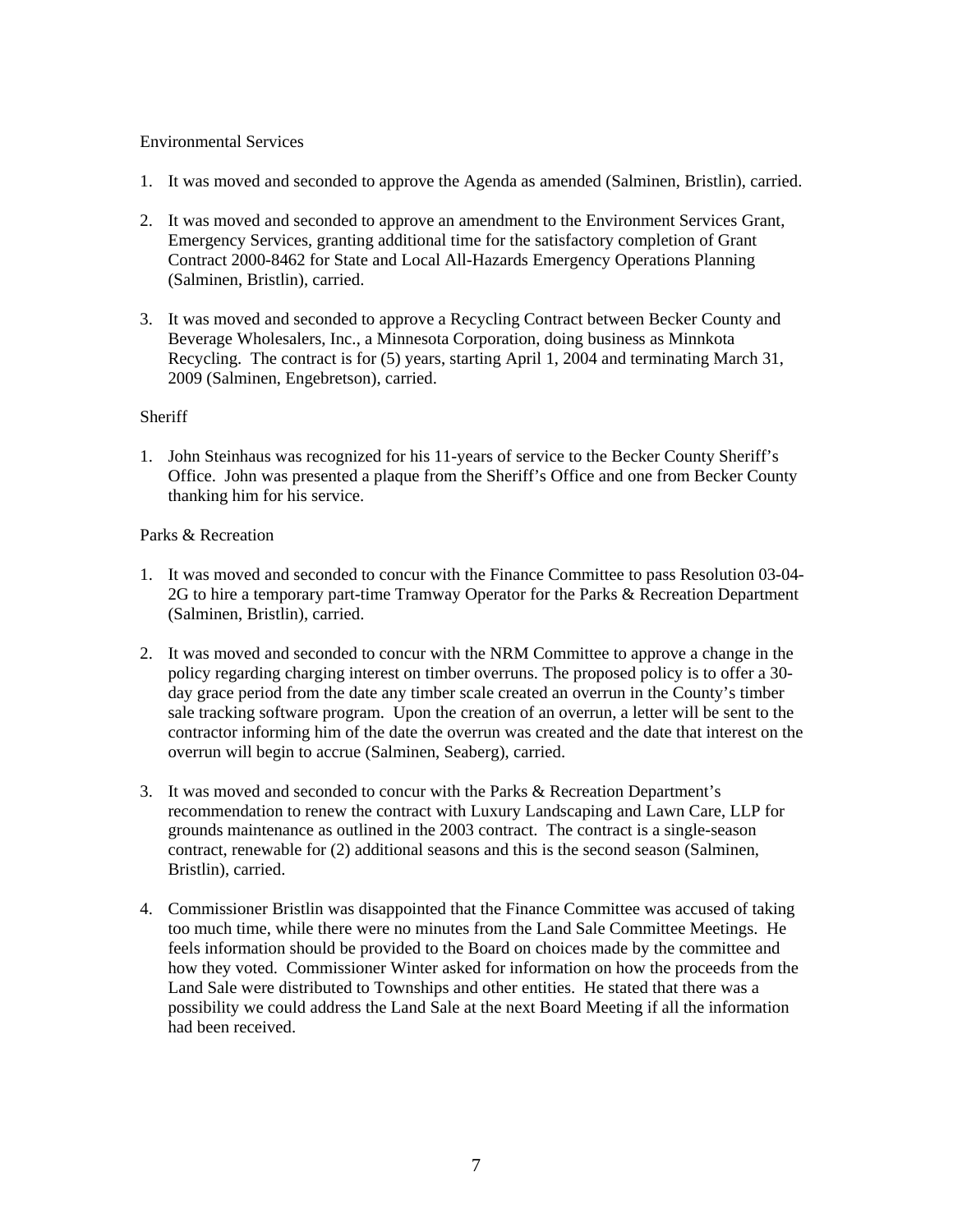## Environmental Services

- 1. It was moved and seconded to approve the Agenda as amended (Salminen, Bristlin), carried.
- 2. It was moved and seconded to approve an amendment to the Environment Services Grant, Emergency Services, granting additional time for the satisfactory completion of Grant Contract 2000-8462 for State and Local All-Hazards Emergency Operations Planning (Salminen, Bristlin), carried.
- 3. It was moved and seconded to approve a Recycling Contract between Becker County and Beverage Wholesalers, Inc., a Minnesota Corporation, doing business as Minnkota Recycling. The contract is for (5) years, starting April 1, 2004 and terminating March 31, 2009 (Salminen, Engebretson), carried.

## **Sheriff**

1. John Steinhaus was recognized for his 11-years of service to the Becker County Sheriff's Office. John was presented a plaque from the Sheriff's Office and one from Becker County thanking him for his service.

# Parks & Recreation

- 1. It was moved and seconded to concur with the Finance Committee to pass Resolution 03-04- 2G to hire a temporary part-time Tramway Operator for the Parks & Recreation Department (Salminen, Bristlin), carried.
- 2. It was moved and seconded to concur with the NRM Committee to approve a change in the policy regarding charging interest on timber overruns. The proposed policy is to offer a 30 day grace period from the date any timber scale created an overrun in the County's timber sale tracking software program. Upon the creation of an overrun, a letter will be sent to the contractor informing him of the date the overrun was created and the date that interest on the overrun will begin to accrue (Salminen, Seaberg), carried.
- 3. It was moved and seconded to concur with the Parks & Recreation Department's recommendation to renew the contract with Luxury Landscaping and Lawn Care, LLP for grounds maintenance as outlined in the 2003 contract. The contract is a single-season contract, renewable for (2) additional seasons and this is the second season (Salminen, Bristlin), carried.
- 4. Commissioner Bristlin was disappointed that the Finance Committee was accused of taking too much time, while there were no minutes from the Land Sale Committee Meetings. He feels information should be provided to the Board on choices made by the committee and how they voted. Commissioner Winter asked for information on how the proceeds from the Land Sale were distributed to Townships and other entities. He stated that there was a possibility we could address the Land Sale at the next Board Meeting if all the information had been received.